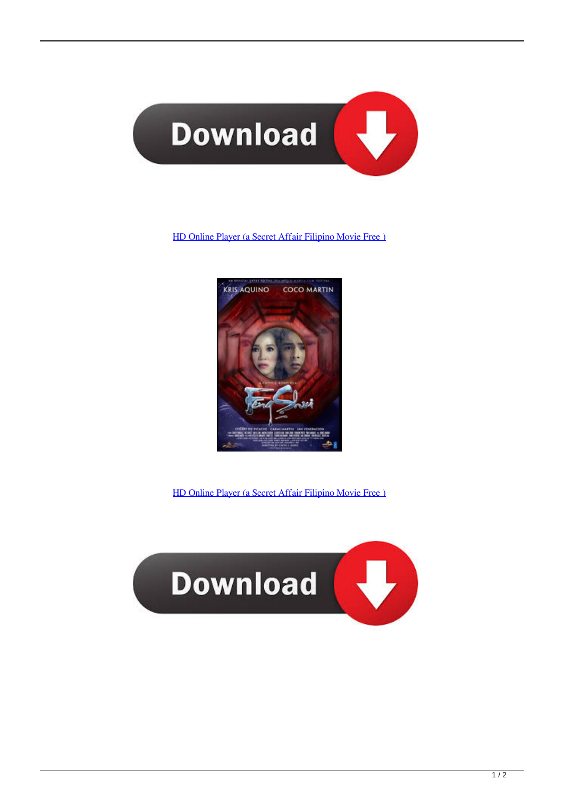

## [HD Online Player \(a Secret Affair Filipino Movie Free \)](https://tiurll.com/1qi8wm)



[HD Online Player \(a Secret Affair Filipino Movie Free \)](https://tiurll.com/1qi8wm)